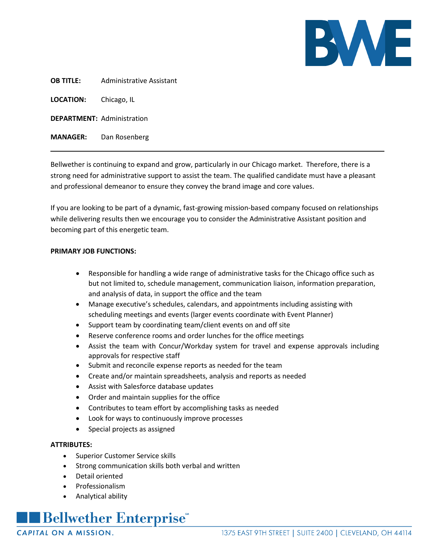

**OB TITLE:** Administrative Assistant

**LOCATION:** Chicago, IL

**DEPARTMENT:** Administration

**MANAGER:** Dan Rosenberg

Bellwether is continuing to expand and grow, particularly in our Chicago market. Therefore, there is a strong need for administrative support to assist the team. The qualified candidate must have a pleasant and professional demeanor to ensure they convey the brand image and core values.

If you are looking to be part of a dynamic, fast-growing mission-based company focused on relationships while delivering results then we encourage you to consider the Administrative Assistant position and becoming part of this energetic team.

## **PRIMARY JOB FUNCTIONS:**

- Responsible for handling a wide range of administrative tasks for the Chicago office such as but not limited to, schedule management, communication liaison, information preparation, and analysis of data, in support the office and the team
- Manage executive's schedules, calendars, and appointments including assisting with scheduling meetings and events (larger events coordinate with Event Planner)
- Support team by coordinating team/client events on and off site
- Reserve conference rooms and order lunches for the office meetings
- Assist the team with Concur/Workday system for travel and expense approvals including approvals for respective staff
- Submit and reconcile expense reports as needed for the team
- Create and/or maintain spreadsheets, analysis and reports as needed
- Assist with Salesforce database updates
- Order and maintain supplies for the office
- Contributes to team effort by accomplishing tasks as needed
- Look for ways to continuously improve processes
- Special projects as assigned

## **ATTRIBUTES:**

- Superior Customer Service skills
- Strong communication skills both verbal and written
- Detail oriented
- Professionalism
- Analytical ability

## **Bellwether Enterprise**